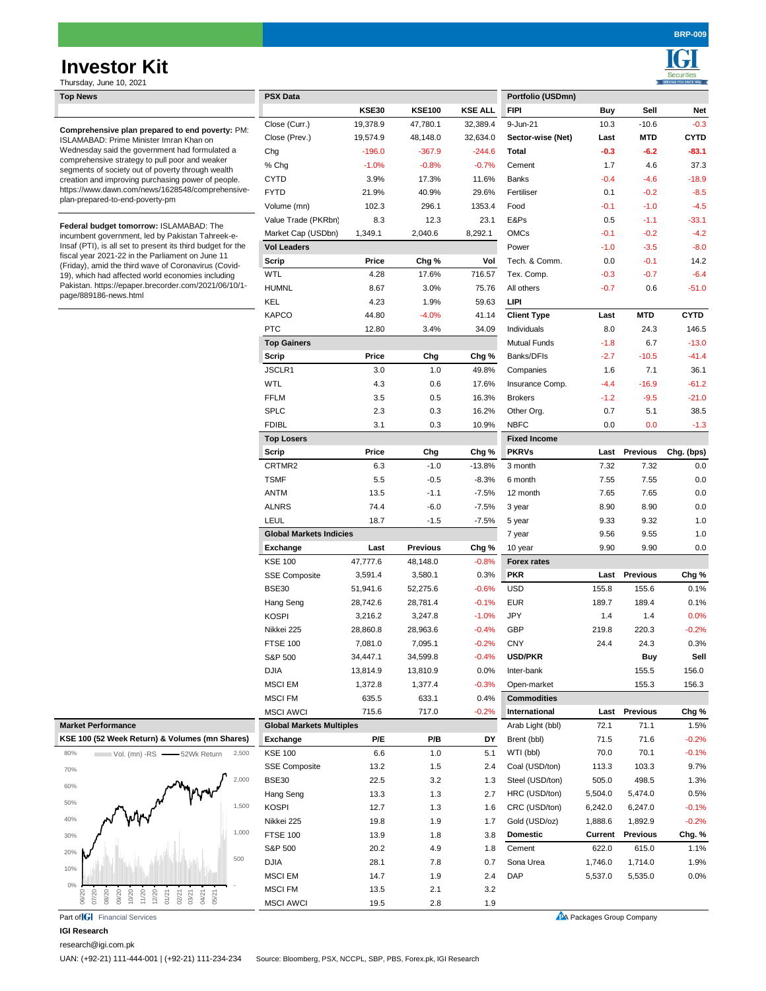# Thursday **Investor Kit**

Securities

| Thursday, June 10, 2021                                                                                                                                                                                                                                                                                                                                                                                      |                                      |              |                 |                |                                   |                |                                  |             |
|--------------------------------------------------------------------------------------------------------------------------------------------------------------------------------------------------------------------------------------------------------------------------------------------------------------------------------------------------------------------------------------------------------------|--------------------------------------|--------------|-----------------|----------------|-----------------------------------|----------------|----------------------------------|-------------|
| <b>Top News</b>                                                                                                                                                                                                                                                                                                                                                                                              | <b>PSX Data</b>                      |              |                 |                | Portfolio (USDmn)                 |                |                                  |             |
|                                                                                                                                                                                                                                                                                                                                                                                                              |                                      | KSE30        | <b>KSE100</b>   | <b>KSE ALL</b> | <b>FIPI</b>                       | Buy            | Sell                             | Net         |
| Comprehensive plan prepared to end poverty: PM:<br>ISLAMABAD: Prime Minister Imran Khan on<br>Wednesday said the government had formulated a<br>comprehensive strategy to pull poor and weaker<br>segments of society out of poverty through wealth<br>creation and improving purchasing power of people.<br>https://www.dawn.com/news/1628548/comprehensive-<br>plan-prepared-to-end-poverty-pm             | Close (Curr.)                        | 19,378.9     | 47,780.1        | 32,389.4       | 9-Jun-21                          | 10.3           | $-10.6$                          | $-0.3$      |
|                                                                                                                                                                                                                                                                                                                                                                                                              | Close (Prev.)                        | 19,574.9     | 48,148.0        | 32,634.0       | Sector-wise (Net)                 | Last           | MTD                              | <b>CYTD</b> |
|                                                                                                                                                                                                                                                                                                                                                                                                              | Chg                                  | $-196.0$     | $-367.9$        | $-244.6$       | Total                             | $-0.3$         | $-6.2$                           | $-83.1$     |
|                                                                                                                                                                                                                                                                                                                                                                                                              | % Chg                                | $-1.0%$      | $-0.8%$         | $-0.7%$        | Cement                            | 1.7            | 4.6                              | 37.3        |
|                                                                                                                                                                                                                                                                                                                                                                                                              | <b>CYTD</b>                          | 3.9%         | 17.3%           | 11.6%          | Banks                             | $-0.4$         | $-4.6$                           | $-18.9$     |
|                                                                                                                                                                                                                                                                                                                                                                                                              | <b>FYTD</b>                          | 21.9%        | 40.9%           | 29.6%          | Fertiliser                        | 0.1            | $-0.2$                           | $-8.5$      |
|                                                                                                                                                                                                                                                                                                                                                                                                              | Volume (mn)                          | 102.3        | 296.1           | 1353.4         | Food                              | $-0.1$         | $-1.0$                           | $-4.5$      |
| Federal budget tomorrow: ISLAMABAD: The<br>incumbent government, led by Pakistan Tahreek-e-<br>Insaf (PTI), is all set to present its third budget for the<br>fiscal year 2021-22 in the Parliament on June 11<br>(Friday), amid the third wave of Coronavirus (Covid-<br>19), which had affected world economies including<br>Pakistan. https://epaper.brecorder.com/2021/06/10/1-<br>page/889186-news.html | Value Trade (PKRbn)                  | 8.3          | 12.3            | 23.1           | E&Ps                              | 0.5            | $-1.1$                           | $-33.1$     |
|                                                                                                                                                                                                                                                                                                                                                                                                              | Market Cap (USDbn)                   | 1,349.1      | 2,040.6         | 8,292.1        | <b>OMCs</b>                       | $-0.1$         | $-0.2$                           | $-4.2$      |
|                                                                                                                                                                                                                                                                                                                                                                                                              | <b>Vol Leaders</b>                   |              |                 |                | Power                             | $-1.0$         | $-3.5$                           | $-8.0$      |
|                                                                                                                                                                                                                                                                                                                                                                                                              | Scrip                                | Price        | Chg %           | Vol            | Tech. & Comm.                     | 0.0            | $-0.1$                           | 14.2        |
|                                                                                                                                                                                                                                                                                                                                                                                                              | <b>WTL</b>                           | 4.28         | 17.6%           | 716.57         | Tex. Comp.                        | $-0.3$         | $-0.7$                           | $-6.4$      |
|                                                                                                                                                                                                                                                                                                                                                                                                              | <b>HUMNL</b>                         | 8.67         | 3.0%            | 75.76          | All others                        | $-0.7$         | 0.6                              | $-51.0$     |
|                                                                                                                                                                                                                                                                                                                                                                                                              | KEL                                  | 4.23         | 1.9%            | 59.63          | LIPI                              |                |                                  |             |
|                                                                                                                                                                                                                                                                                                                                                                                                              | <b>KAPCO</b>                         | 44.80        | $-4.0%$         | 41.14          | <b>Client Type</b>                | Last           | <b>MTD</b>                       | CYTD        |
|                                                                                                                                                                                                                                                                                                                                                                                                              | <b>PTC</b>                           | 12.80        | 3.4%            | 34.09          | Individuals                       | 8.0            | 24.3                             | 146.5       |
|                                                                                                                                                                                                                                                                                                                                                                                                              | <b>Top Gainers</b>                   |              |                 |                | Mutual Funds                      | $-1.8$         | 6.7                              | $-13.0$     |
|                                                                                                                                                                                                                                                                                                                                                                                                              | Scrip                                | Price        | Chg             | Chg %          | Banks/DFIs                        | $-2.7$         | $-10.5$                          | $-41.4$     |
|                                                                                                                                                                                                                                                                                                                                                                                                              | JSCLR1                               | 3.0          | 1.0             | 49.8%          | Companies                         | 1.6            | 7.1                              | 36.1        |
|                                                                                                                                                                                                                                                                                                                                                                                                              | WTL                                  | 4.3          | 0.6             | 17.6%          | Insurance Comp.                   |                | $-16.9$                          | $-61.2$     |
|                                                                                                                                                                                                                                                                                                                                                                                                              |                                      |              |                 |                |                                   | $-4.4$         |                                  |             |
|                                                                                                                                                                                                                                                                                                                                                                                                              | <b>FFLM</b>                          | 3.5          | 0.5             | 16.3%          | <b>Brokers</b>                    | $-1.2$         | $-9.5$                           | $-21.0$     |
|                                                                                                                                                                                                                                                                                                                                                                                                              | <b>SPLC</b>                          | 2.3          | 0.3             | 16.2%          | Other Org.                        | 0.7            | 5.1                              | 38.5        |
|                                                                                                                                                                                                                                                                                                                                                                                                              | <b>FDIBL</b>                         | 3.1          | 0.3             | 10.9%          | <b>NBFC</b>                       | 0.0            | 0.0                              | $-1.3$      |
|                                                                                                                                                                                                                                                                                                                                                                                                              | <b>Top Losers</b>                    |              |                 |                | <b>Fixed Income</b>               |                |                                  |             |
|                                                                                                                                                                                                                                                                                                                                                                                                              | Scrip                                | Price        | Chg             | Chg %          | <b>PKRVs</b>                      | Last           | <b>Previous</b>                  | Chg. (bps)  |
|                                                                                                                                                                                                                                                                                                                                                                                                              | CRTMR2                               | 6.3          | $-1.0$          | $-13.8%$       | 3 month                           | 7.32           | 7.32                             | 0.0         |
|                                                                                                                                                                                                                                                                                                                                                                                                              | <b>TSMF</b>                          | 5.5          | $-0.5$          | $-8.3%$        | 6 month                           | 7.55           | 7.55                             | 0.0         |
|                                                                                                                                                                                                                                                                                                                                                                                                              | <b>ANTM</b>                          | 13.5         | $-1.1$          | $-7.5%$        | 12 month                          | 7.65           | 7.65                             | 0.0         |
|                                                                                                                                                                                                                                                                                                                                                                                                              | <b>ALNRS</b>                         | 74.4         | $-6.0$          | $-7.5%$        | 3 year                            | 8.90           | 8.90                             | 0.0         |
|                                                                                                                                                                                                                                                                                                                                                                                                              | LEUL                                 | 18.7         | $-1.5$          | $-7.5%$        | 5 year                            | 9.33           | 9.32                             | 1.0         |
|                                                                                                                                                                                                                                                                                                                                                                                                              | <b>Global Markets Indicies</b>       |              |                 |                | 7 year                            | 9.56           | 9.55                             | 1.0         |
|                                                                                                                                                                                                                                                                                                                                                                                                              | Exchange                             | Last         | <b>Previous</b> | Chg %          | 10 year                           | 9.90           | 9.90                             | 0.0         |
|                                                                                                                                                                                                                                                                                                                                                                                                              | <b>KSE 100</b>                       | 47,777.6     | 48,148.0        | $-0.8%$        | <b>Forex rates</b>                |                |                                  |             |
|                                                                                                                                                                                                                                                                                                                                                                                                              | <b>SSE Composite</b>                 | 3,591.4      | 3,580.1         | 0.3%           | <b>PKR</b>                        |                | Last Previous                    | Chg %       |
|                                                                                                                                                                                                                                                                                                                                                                                                              | <b>BSE30</b>                         | 51,941.6     | 52,275.6        | $-0.6%$        | <b>USD</b>                        | 155.8          | 155.6                            | 0.1%        |
|                                                                                                                                                                                                                                                                                                                                                                                                              | Hang Seng                            | 28,742.6     | 28,781.4        | $-0.1%$        | <b>EUR</b>                        | 189.7          | 189.4                            | 0.1%        |
|                                                                                                                                                                                                                                                                                                                                                                                                              | <b>KOSPI</b>                         | 3,216.2      | 3,247.8         | $-1.0%$        | <b>JPY</b>                        | 1.4            | 1.4                              | 0.0%        |
|                                                                                                                                                                                                                                                                                                                                                                                                              | Nikkei 225                           | 28,860.8     | 28,963.6        | $-0.4%$        | <b>GBP</b>                        | 219.8          | 220.3                            | $-0.2%$     |
|                                                                                                                                                                                                                                                                                                                                                                                                              | <b>FTSE 100</b>                      | 7,081.0      | 7,095.1         | $-0.2%$        | <b>CNY</b>                        | 24.4           | 24.3                             | 0.3%        |
|                                                                                                                                                                                                                                                                                                                                                                                                              | S&P 500                              | 34,447.1     | 34,599.8        | $-0.4%$        | <b>USD/PKR</b>                    |                | Buy                              | Sell        |
|                                                                                                                                                                                                                                                                                                                                                                                                              | <b>DJIA</b>                          | 13,814.9     | 13,810.9        | 0.0%           | Inter-bank                        |                | 155.5                            | 156.0       |
|                                                                                                                                                                                                                                                                                                                                                                                                              | <b>MSCI EM</b>                       | 1,372.8      | 1,377.4         | $-0.3%$        | Open-market                       |                | 155.3                            | 156.3       |
|                                                                                                                                                                                                                                                                                                                                                                                                              | <b>MSCI FM</b>                       | 635.5        | 633.1           | 0.4%           | <b>Commodities</b>                |                |                                  |             |
|                                                                                                                                                                                                                                                                                                                                                                                                              | <b>MSCI AWCI</b>                     | 715.6        | 717.0           | $-0.2%$        | International                     | Last           | <b>Previous</b>                  | Chg %       |
| <b>Market Performance</b>                                                                                                                                                                                                                                                                                                                                                                                    | <b>Global Markets Multiples</b>      |              |                 |                | Arab Light (bbl)                  | 72.1           | 71.1                             | 1.5%        |
| KSE 100 (52 Week Return) & Volumes (mn Shares)                                                                                                                                                                                                                                                                                                                                                               | Exchange                             | P/E          | P/B             | DY             | Brent (bbl)                       | 71.5           | 71.6                             | $-0.2%$     |
| 2,500<br>80%                                                                                                                                                                                                                                                                                                                                                                                                 | <b>KSE 100</b>                       | 6.6          | 1.0             | 5.1            | WTI (bbl)                         | 70.0           | 70.1                             | $-0.1%$     |
| $V$ ol. (mn) -RS $-$<br>-52Wk Return                                                                                                                                                                                                                                                                                                                                                                         |                                      |              |                 |                |                                   |                |                                  | 9.7%        |
| 70%<br>2,000                                                                                                                                                                                                                                                                                                                                                                                                 | <b>SSE Composite</b><br><b>BSE30</b> | 13.2<br>22.5 | 1.5             | 2.4            | Coal (USD/ton)<br>Steel (USD/ton) | 113.3<br>505.0 | 103.3                            |             |
| 60%                                                                                                                                                                                                                                                                                                                                                                                                          |                                      |              | 3.2             | 1.3            |                                   |                | 498.5                            | 1.3%        |
| $50\%$                                                                                                                                                                                                                                                                                                                                                                                                       | Hang Seng                            | 13.3         | 1.3             | 2.7            | HRC (USD/ton)                     | 5,504.0        | 5,474.0                          | 0.5%        |
| 1,500<br>40%                                                                                                                                                                                                                                                                                                                                                                                                 | <b>KOSPI</b>                         | 12.7         | 1.3             | 1.6            | CRC (USD/ton)                     | 6,242.0        | 6,247.0                          | $-0.1%$     |
| 1,000                                                                                                                                                                                                                                                                                                                                                                                                        | Nikkei 225                           | 19.8         | 1.9             | 1.7            | Gold (USD/oz)                     | 1,888.6        | 1,892.9                          | $-0.2%$     |
| 30%                                                                                                                                                                                                                                                                                                                                                                                                          | <b>FTSE 100</b>                      | 13.9         | 1.8             | 3.8            | <b>Domestic</b>                   | Current        | <b>Previous</b>                  | Chg. %      |
| 20%<br>500                                                                                                                                                                                                                                                                                                                                                                                                   | S&P 500                              | 20.2         | 4.9             | 1.8            | Cement                            | 622.0          | 615.0                            | 1.1%        |
| 10%                                                                                                                                                                                                                                                                                                                                                                                                          | <b>DJIA</b>                          | 28.1         | 7.8             | 0.7            | Sona Urea                         | 1,746.0        | 1,714.0                          | 1.9%        |
| 0%                                                                                                                                                                                                                                                                                                                                                                                                           | <b>MSCI EM</b>                       | 14.7         | 1.9             | 2.4            | <b>DAP</b>                        | 5,537.0        | 5,535.0                          | 0.0%        |
| 07/20<br>10/20<br>11/20<br>12/20<br>06/20<br>08/20<br>09/20<br>01/21<br>02/21<br>03/21<br>04/21<br>05/21                                                                                                                                                                                                                                                                                                     | <b>MSCI FM</b>                       | 13.5         | 2.1             | 3.2            |                                   |                |                                  |             |
|                                                                                                                                                                                                                                                                                                                                                                                                              | <b>MSCI AWCI</b>                     | 19.5         | 2.8             | 1.9            |                                   |                |                                  |             |
| Part of <b>IGI</b> Financial Services                                                                                                                                                                                                                                                                                                                                                                        |                                      |              |                 |                |                                   |                | <b>PA</b> Packages Group Company |             |

## **IGI Research**